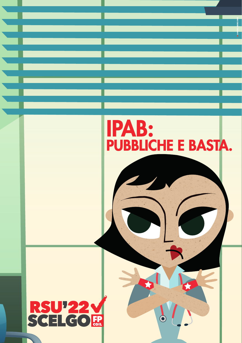

 $\ddot{\textbf{C}}$ 

## **RSU'22V**<br>SCELGO**R**